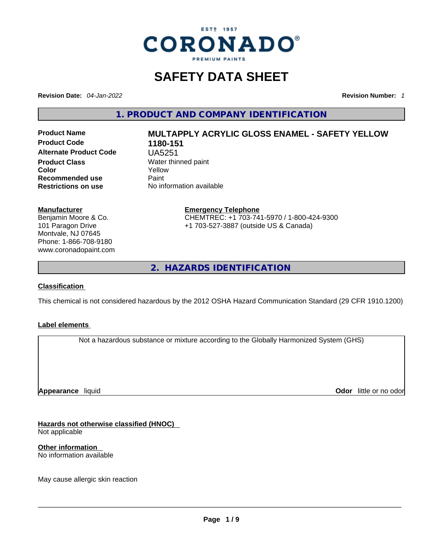

# **SAFETY DATA SHEET**

**Revision Date:** *04-Jan-2022* **Revision Number:** *1*

**1. PRODUCT AND COMPANY IDENTIFICATION** 

**No information available** 

**Product Code 1180-151 Alternate Product Code** UA5251 **Product Class Water thinned paint**<br> **Color Color Recommended use** Paint<br> **Restrictions on use** No inf

# **Product Name MULTAPPLY ACRYLIC GLOSS ENAMEL - SAFETY YELLOW Color** Yellow

**Manufacturer**

Benjamin Moore & Co. 101 Paragon Drive Montvale, NJ 07645 Phone: 1-866-708-9180 www.coronadopaint.com

#### **Emergency Telephone** CHEMTREC: +1 703-741-5970 / 1-800-424-9300 +1 703-527-3887 (outside US & Canada)

**2. HAZARDS IDENTIFICATION** 

#### **Classification**

This chemical is not considered hazardous by the 2012 OSHA Hazard Communication Standard (29 CFR 1910.1200)

#### **Label elements**

Not a hazardous substance or mixture according to the Globally Harmonized System (GHS)

**Appearance** liquid

**Odor** little or no odor

**Hazards not otherwise classified (HNOC)**  Not applicable

**Other information**  No information available

May cause allergic skin reaction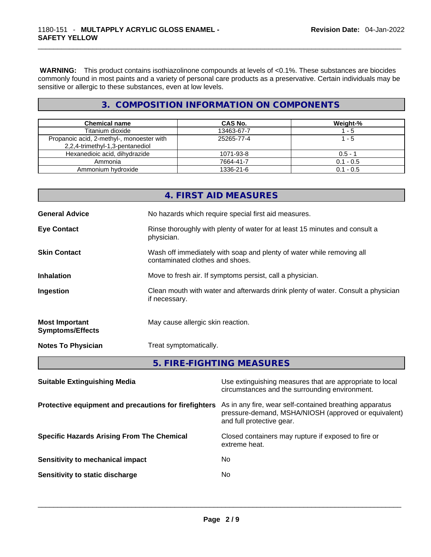**WARNING:** This product contains isothiazolinone compounds at levels of <0.1%. These substances are biocides commonly found in most paints and a variety of personal care products as a preservative. Certain individuals may be sensitive or allergic to these substances, even at low levels.

### **3. COMPOSITION INFORMATION ON COMPONENTS**

| <b>Chemical name</b>                                                         | CAS No.    | Weight-%    |
|------------------------------------------------------------------------------|------------|-------------|
| Titanium dioxide                                                             | 13463-67-7 | l - 5       |
| Propanoic acid, 2-methyl-, monoester with<br>2,2,4-trimethyl-1,3-pentanediol | 25265-77-4 | 1 - 5       |
| Hexanedioic acid, dihydrazide                                                | 1071-93-8  | $0.5 - 1$   |
| Ammonia                                                                      | 7664-41-7  | $0.1 - 0.5$ |
| Ammonium hydroxide                                                           | 1336-21-6  | $0.1 - 0.5$ |

|                                                  | 4. FIRST AID MEASURES                                                                                    |
|--------------------------------------------------|----------------------------------------------------------------------------------------------------------|
| <b>General Advice</b>                            | No hazards which require special first aid measures.                                                     |
| <b>Eye Contact</b>                               | Rinse thoroughly with plenty of water for at least 15 minutes and consult a<br>physician.                |
| <b>Skin Contact</b>                              | Wash off immediately with soap and plenty of water while removing all<br>contaminated clothes and shoes. |
| <b>Inhalation</b>                                | Move to fresh air. If symptoms persist, call a physician.                                                |
| Ingestion                                        | Clean mouth with water and afterwards drink plenty of water. Consult a physician<br>if necessary.        |
| <b>Most Important</b><br><b>Symptoms/Effects</b> | May cause allergic skin reaction.                                                                        |
| <b>Notes To Physician</b>                        | Treat symptomatically.                                                                                   |
|                                                  | 5. FIRE-FIGHTING MEASURES                                                                                |

| <b>Suitable Extinguishing Media</b>                   | Use extinguishing measures that are appropriate to local<br>circumstances and the surrounding environment.                                   |
|-------------------------------------------------------|----------------------------------------------------------------------------------------------------------------------------------------------|
| Protective equipment and precautions for firefighters | As in any fire, wear self-contained breathing apparatus<br>pressure-demand, MSHA/NIOSH (approved or equivalent)<br>and full protective gear. |
| <b>Specific Hazards Arising From The Chemical</b>     | Closed containers may rupture if exposed to fire or<br>extreme heat.                                                                         |
| Sensitivity to mechanical impact                      | No.                                                                                                                                          |
| Sensitivity to static discharge                       | No                                                                                                                                           |
|                                                       |                                                                                                                                              |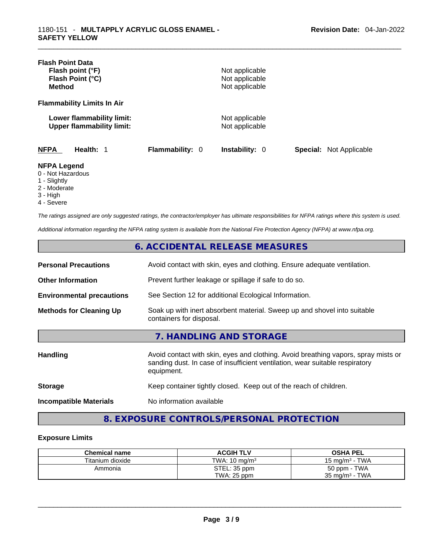| <b>Flash Point Data</b><br>Flash point (°F)<br>Flash Point (°C)<br><b>Method</b> |                        | Not applicable<br>Not applicable<br>Not applicable |                                |
|----------------------------------------------------------------------------------|------------------------|----------------------------------------------------|--------------------------------|
| <b>Flammability Limits In Air</b>                                                |                        |                                                    |                                |
| Lower flammability limit:<br><b>Upper flammability limit:</b>                    |                        | Not applicable<br>Not applicable                   |                                |
| <b>NFPA</b><br>Health: 1                                                         | <b>Flammability: 0</b> | <b>Instability: 0</b>                              | <b>Special:</b> Not Applicable |
| <b>NFPA Legend</b><br>0 - Not Hazardous<br>1 - Slightly<br>$2 - 5$               |                        |                                                    |                                |

- 2 Moderate
- 3 High
- 4 Severe

*The ratings assigned are only suggested ratings, the contractor/employer has ultimate responsibilities for NFPA ratings where this system is used.* 

*Additional information regarding the NFPA rating system is available from the National Fire Protection Agency (NFPA) at www.nfpa.org.* 

## **6. ACCIDENTAL RELEASE MEASURES**

| <b>Personal Precautions</b>      | Avoid contact with skin, eyes and clothing. Ensure adequate ventilation.                             |
|----------------------------------|------------------------------------------------------------------------------------------------------|
| <b>Other Information</b>         | Prevent further leakage or spillage if safe to do so.                                                |
| <b>Environmental precautions</b> | See Section 12 for additional Ecological Information.                                                |
| <b>Methods for Cleaning Up</b>   | Soak up with inert absorbent material. Sweep up and shovel into suitable<br>containers for disposal. |

## **7. HANDLING AND STORAGE**

| <b>Handling</b>               | Avoid contact with skin, eyes and clothing. Avoid breathing vapors, spray mists or<br>sanding dust. In case of insufficient ventilation, wear suitable respiratory<br>equipment. |
|-------------------------------|----------------------------------------------------------------------------------------------------------------------------------------------------------------------------------|
| <b>Storage</b>                | Keep container tightly closed. Keep out of the reach of children.                                                                                                                |
| <b>Incompatible Materials</b> | No information available                                                                                                                                                         |

**8. EXPOSURE CONTROLS/PERSONAL PROTECTION** 

#### **Exposure Limits**

| <b>Chemical name</b> | <b>ACGIH TLV</b>         | <b>OSHA PEL</b>           |
|----------------------|--------------------------|---------------------------|
| Titanium dioxide     | TWA: $10 \text{ ma/m}^3$ | 15 mg/m $3$ - TWA         |
| Ammonia              | STEL: 35 ppm             | 50 ppm - TWA              |
|                      | <b>TWA: 25 ppm</b>       | $35 \text{ ma/m}^3$ - TWA |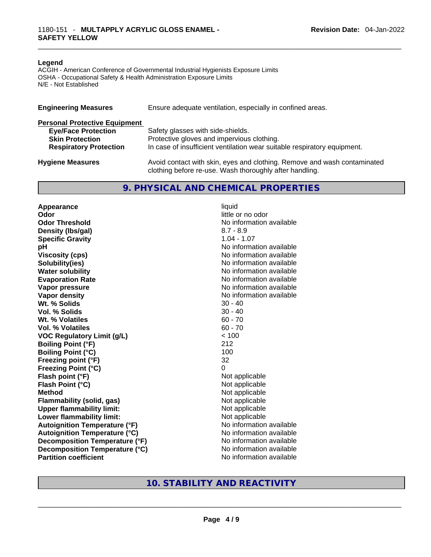#### **Legend**

ACGIH - American Conference of Governmental Industrial Hygienists Exposure Limits OSHA - Occupational Safety & Health Administration Exposure Limits N/E - Not Established

| Ensure adequate ventilation, especially in confined areas.<br><b>Engineering Measures</b> |                                                                                                                                     |  |  |
|-------------------------------------------------------------------------------------------|-------------------------------------------------------------------------------------------------------------------------------------|--|--|
| <b>Personal Protective Equipment</b>                                                      |                                                                                                                                     |  |  |
| <b>Eye/Face Protection</b>                                                                | Safety glasses with side-shields.                                                                                                   |  |  |
| <b>Skin Protection</b>                                                                    | Protective gloves and impervious clothing.                                                                                          |  |  |
| <b>Respiratory Protection</b>                                                             | In case of insufficient ventilation wear suitable respiratory equipment.                                                            |  |  |
| <b>Hygiene Measures</b>                                                                   | Avoid contact with skin, eyes and clothing. Remove and wash contaminated<br>clothing before re-use. Wash thoroughly after handling. |  |  |

#### **9. PHYSICAL AND CHEMICAL PROPERTIES**

**Appearance** liquid **Odor** little or no odor **Odor Threshold** No information available **Density (lbs/gal)** 8.7 - 8.9 **Specific Gravity** 1.04 - 1.07 **pH bH** *pH* **Viscosity (cps) Viscosity (cps) No information available Solubility(ies)**<br> **No information available**<br> **Water solubility**<br> **Water solubility Evaporation Rate No information available No information available Vapor pressure**  No information available **Vapor density No information available No** information available **Wt. % Solids** 30 - 40 **Vol. % Solids Wt. % Volatiles** 60 - 70 **Vol. % Volatiles** 60 - 70 **VOC Regulatory Limit (g/L)** < 100 **Boiling Point (°F)** 212 **Boiling Point (°C) Freezing point (°F)** 32 **Freezing Point (°C)** 0 **Flash point (°F) Flash Point (°C)** Not applicable **Method**<br> **Plammability (solid, gas)**<br> **Plammability (solid, gas)**<br> **Not applicable Flammability** (solid, gas) **Upper flammability limit:** Not applicable **Lower flammability limit:** Not applicable **Autoignition Temperature (°F)** No information available **Autoignition Temperature (°C)**<br> **Decomposition Temperature (°F)** No information available **Decomposition Temperature (°F) Decomposition Temperature (°C)** No information available

**No information available** 

# **Partition coefficient**<br>No information available<br>No information available<br>No information available<br>No information available<br>No information available<br>No information available<br>No information available<br>No information availabl **10. STABILITY AND REACTIVITY**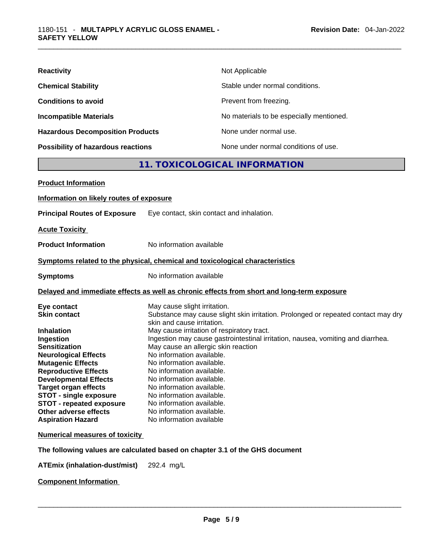| <b>Reactivity</b>                         | Not Applicable                           |
|-------------------------------------------|------------------------------------------|
| <b>Chemical Stability</b>                 | Stable under normal conditions.          |
| <b>Conditions to avoid</b>                | Prevent from freezing.                   |
| <b>Incompatible Materials</b>             | No materials to be especially mentioned. |
| <b>Hazardous Decomposition Products</b>   | None under normal use.                   |
| <b>Possibility of hazardous reactions</b> | None under normal conditions of use.     |

## **11. TOXICOLOGICAL INFORMATION**

| <b>Product Information</b>                                                                                                                                                                                                                                                                                                                         |                                                                                                                                                                                                                                                                                                                                                                                                                                                                                                                                                                                             |
|----------------------------------------------------------------------------------------------------------------------------------------------------------------------------------------------------------------------------------------------------------------------------------------------------------------------------------------------------|---------------------------------------------------------------------------------------------------------------------------------------------------------------------------------------------------------------------------------------------------------------------------------------------------------------------------------------------------------------------------------------------------------------------------------------------------------------------------------------------------------------------------------------------------------------------------------------------|
| Information on likely routes of exposure                                                                                                                                                                                                                                                                                                           |                                                                                                                                                                                                                                                                                                                                                                                                                                                                                                                                                                                             |
| <b>Principal Routes of Exposure</b>                                                                                                                                                                                                                                                                                                                | Eye contact, skin contact and inhalation.                                                                                                                                                                                                                                                                                                                                                                                                                                                                                                                                                   |
| <b>Acute Toxicity</b>                                                                                                                                                                                                                                                                                                                              |                                                                                                                                                                                                                                                                                                                                                                                                                                                                                                                                                                                             |
| <b>Product Information</b>                                                                                                                                                                                                                                                                                                                         | No information available                                                                                                                                                                                                                                                                                                                                                                                                                                                                                                                                                                    |
|                                                                                                                                                                                                                                                                                                                                                    | Symptoms related to the physical, chemical and toxicological characteristics                                                                                                                                                                                                                                                                                                                                                                                                                                                                                                                |
| <b>Symptoms</b>                                                                                                                                                                                                                                                                                                                                    | No information available                                                                                                                                                                                                                                                                                                                                                                                                                                                                                                                                                                    |
|                                                                                                                                                                                                                                                                                                                                                    | Delayed and immediate effects as well as chronic effects from short and long-term exposure                                                                                                                                                                                                                                                                                                                                                                                                                                                                                                  |
| Eye contact<br><b>Skin contact</b><br><b>Inhalation</b><br>Ingestion<br><b>Sensitization</b><br><b>Neurological Effects</b><br><b>Mutagenic Effects</b><br><b>Reproductive Effects</b><br><b>Developmental Effects</b><br><b>Target organ effects</b><br><b>STOT - single exposure</b><br><b>STOT - repeated exposure</b><br>Other adverse effects | May cause slight irritation.<br>Substance may cause slight skin irritation. Prolonged or repeated contact may dry<br>skin and cause irritation.<br>May cause irritation of respiratory tract.<br>Ingestion may cause gastrointestinal irritation, nausea, vomiting and diarrhea.<br>May cause an allergic skin reaction<br>No information available.<br>No information available.<br>No information available.<br>No information available.<br>No information available.<br>No information available.<br>No information available.<br>No information available.<br>No information available |
| <b>Aspiration Hazard</b><br><b>Numerical measures of toxicity</b>                                                                                                                                                                                                                                                                                  |                                                                                                                                                                                                                                                                                                                                                                                                                                                                                                                                                                                             |
|                                                                                                                                                                                                                                                                                                                                                    | The following values are calculated based on chapter 3.1 of the GHS document                                                                                                                                                                                                                                                                                                                                                                                                                                                                                                                |
| <b>ATEmix (inhalation-dust/mist)</b>                                                                                                                                                                                                                                                                                                               | 292.4 mg/L                                                                                                                                                                                                                                                                                                                                                                                                                                                                                                                                                                                  |
|                                                                                                                                                                                                                                                                                                                                                    |                                                                                                                                                                                                                                                                                                                                                                                                                                                                                                                                                                                             |

**Component Information**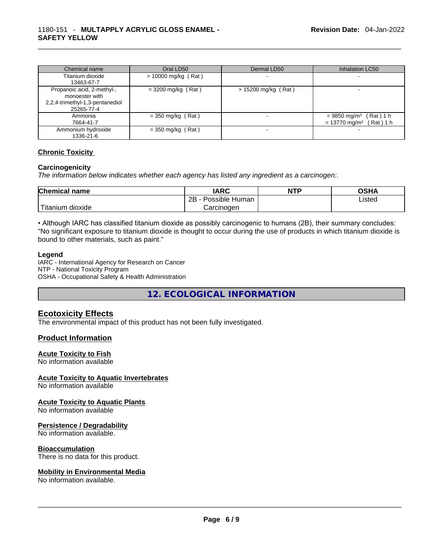| Chemical name                                                                                 | Oral LD50             | Dermal LD50           | Inhalation LC50                                                                   |
|-----------------------------------------------------------------------------------------------|-----------------------|-----------------------|-----------------------------------------------------------------------------------|
| Titanium dioxide<br>13463-67-7                                                                | $> 10000$ mg/kg (Rat) |                       |                                                                                   |
| Propanoic acid, 2-methyl-,<br>monoester with<br>2,2,4-trimethyl-1,3-pentanediol<br>25265-77-4 | $=$ 3200 mg/kg (Rat)  | $> 15200$ mg/kg (Rat) |                                                                                   |
| Ammonia<br>7664-41-7                                                                          | $=$ 350 mg/kg (Rat)   |                       | $= 9850$ mg/m <sup>3</sup> (Rat) 1 h<br>$= 13770$ mg/m <sup>3</sup><br>(Rat ) 1 h |
| Ammonium hydroxide<br>1336-21-6                                                               | $=$ 350 mg/kg (Rat)   |                       |                                                                                   |

#### **Chronic Toxicity**

#### **Carcinogenicity**

*The information below indicates whether each agency has listed any ingredient as a carcinogen:.* 

| <b>Chemical name</b> | IARC                 | <b>NTP</b> | OSHA   |
|----------------------|----------------------|------------|--------|
|                      | Possible Human<br>2Β |            | ∟isted |
| Titanium<br>dioxide  | Carcinogen           |            |        |

• Although IARC has classified titanium dioxide as possibly carcinogenic to humans (2B), their summary concludes: "No significant exposure to titanium dioxide is thought to occur during the use of products in which titanium dioxide is bound to other materials, such as paint."

#### **Legend**

IARC - International Agency for Research on Cancer NTP - National Toxicity Program OSHA - Occupational Safety & Health Administration

**12. ECOLOGICAL INFORMATION** 

#### **Ecotoxicity Effects**

The environmental impact of this product has not been fully investigated.

#### **Product Information**

#### **Acute Toxicity to Fish**

No information available

#### **Acute Toxicity to Aquatic Invertebrates**

No information available

#### **Acute Toxicity to Aquatic Plants**

No information available

#### **Persistence / Degradability**

No information available.

#### **Bioaccumulation**

There is no data for this product.

# **Mobility in Environmental Media**

No information available. \_\_\_\_\_\_\_\_\_\_\_\_\_\_\_\_\_\_\_\_\_\_\_\_\_\_\_\_\_\_\_\_\_\_\_\_\_\_\_\_\_\_\_\_\_\_\_\_\_\_\_\_\_\_\_\_\_\_\_\_\_\_\_\_\_\_\_\_\_\_\_\_\_\_\_\_\_\_\_\_\_\_\_\_\_\_\_\_\_\_\_\_\_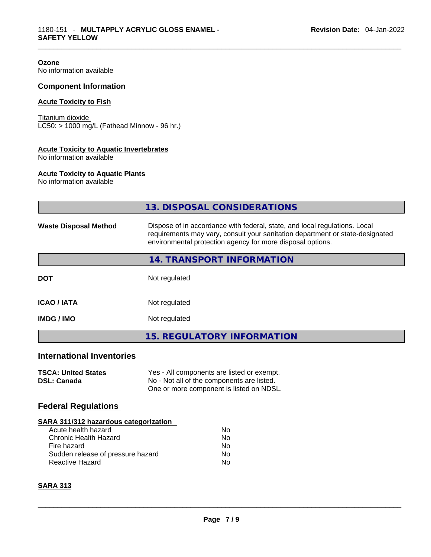**Ozone** No information available

#### **Component Information**

#### **Acute Toxicity to Fish**

Titanium dioxide LC50: > 1000 mg/L (Fathead Minnow - 96 hr.)

#### **Acute Toxicity to Aquatic Invertebrates**

No information available

#### **Acute Toxicity to Aquatic Plants**

No information available

|                                                                                                                                                                            | <b>13. DISPOSAL CONSIDERATIONS</b>                                                                                                                                                                                        |  |  |
|----------------------------------------------------------------------------------------------------------------------------------------------------------------------------|---------------------------------------------------------------------------------------------------------------------------------------------------------------------------------------------------------------------------|--|--|
| <b>Waste Disposal Method</b>                                                                                                                                               | Dispose of in accordance with federal, state, and local regulations. Local<br>requirements may vary, consult your sanitation department or state-designated<br>environmental protection agency for more disposal options. |  |  |
|                                                                                                                                                                            | 14. TRANSPORT INFORMATION                                                                                                                                                                                                 |  |  |
| <b>DOT</b>                                                                                                                                                                 | Not regulated                                                                                                                                                                                                             |  |  |
| <b>ICAO / IATA</b>                                                                                                                                                         | Not regulated                                                                                                                                                                                                             |  |  |
| <b>IMDG / IMO</b>                                                                                                                                                          | Not regulated                                                                                                                                                                                                             |  |  |
|                                                                                                                                                                            | <b>15. REGULATORY INFORMATION</b>                                                                                                                                                                                         |  |  |
| <b>International Inventories</b>                                                                                                                                           |                                                                                                                                                                                                                           |  |  |
| <b>TSCA: United States</b><br><b>DSL: Canada</b>                                                                                                                           | Yes - All components are listed or exempt.<br>No - Not all of the components are listed.<br>One or more component is listed on NDSL.                                                                                      |  |  |
| <b>Federal Regulations</b>                                                                                                                                                 |                                                                                                                                                                                                                           |  |  |
| SARA 311/312 hazardous categorization<br>Acute health hazard<br><b>Chronic Health Hazard</b><br>Fire hazard<br>Sudden release of pressure hazard<br><b>Reactive Hazard</b> | No<br><b>No</b><br>No<br>No<br>No                                                                                                                                                                                         |  |  |
| <b>SARA 313</b>                                                                                                                                                            |                                                                                                                                                                                                                           |  |  |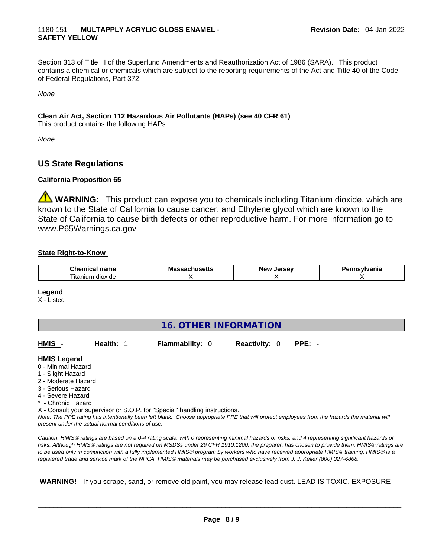Section 313 of Title III of the Superfund Amendments and Reauthorization Act of 1986 (SARA). This product contains a chemical or chemicals which are subject to the reporting requirements of the Act and Title 40 of the Code of Federal Regulations, Part 372:

*None*

#### **Clean Air Act,Section 112 Hazardous Air Pollutants (HAPs) (see 40 CFR 61)**

This product contains the following HAPs:

*None*

#### **US State Regulations**

#### **California Proposition 65**

**WARNING:** This product can expose you to chemicals including Titanium dioxide, which are known to the State of California to cause cancer, and Ethylene glycol which are known to the State of California to cause birth defects or other reproductive harm. For more information go to www.P65Warnings.ca.gov

#### **State Right-to-Know**

| $\sim$<br>$   -$<br>.nem<br>,,,<br>н.а<br>нан | Ma<br>. | -------<br>NΑI | .<br>нс |
|-----------------------------------------------|---------|----------------|---------|
| --<br>--<br>dioxide<br>ıtanıum                |         |                |         |

#### **Legend**

X - Listed

| <b>16. OTHER INFORMATION</b>                                                                                                                          |                                                    |                                                                            |                      |                                                                                                                                                 |  |
|-------------------------------------------------------------------------------------------------------------------------------------------------------|----------------------------------------------------|----------------------------------------------------------------------------|----------------------|-------------------------------------------------------------------------------------------------------------------------------------------------|--|
| HMIS -                                                                                                                                                | Health: 1                                          | <b>Flammability: 0</b>                                                     | <b>Reactivity: 0</b> | $PPE: -$                                                                                                                                        |  |
| <b>HMIS Legend</b><br>0 - Minimal Hazard<br>1 - Slight Hazard<br>2 - Moderate Hazard<br>3 - Serious Hazard<br>4 - Severe Hazard<br>* - Chronic Hazard | present under the actual normal conditions of use. | X - Consult your supervisor or S.O.P. for "Special" handling instructions. |                      | Note: The PPE rating has intentionally been left blank. Choose appropriate PPE that will protect employees from the hazards the material will   |  |
|                                                                                                                                                       |                                                    |                                                                            |                      | Caution: HMIS® ratings are based on a 0-4 rating scale, with 0 representing minimal bazards or risks, and 4 representing significant bazards or |  |

*Caution: HMISÒ ratings are based on a 0-4 rating scale, with 0 representing minimal hazards or risks, and 4 representing significant hazards or risks. Although HMISÒ ratings are not required on MSDSs under 29 CFR 1910.1200, the preparer, has chosen to provide them. HMISÒ ratings are to be used only in conjunction with a fully implemented HMISÒ program by workers who have received appropriate HMISÒ training. HMISÒ is a registered trade and service mark of the NPCA. HMISÒ materials may be purchased exclusively from J. J. Keller (800) 327-6868.* 

 **WARNING!** If you scrape, sand, or remove old paint, you may release lead dust. LEAD IS TOXIC. EXPOSURE